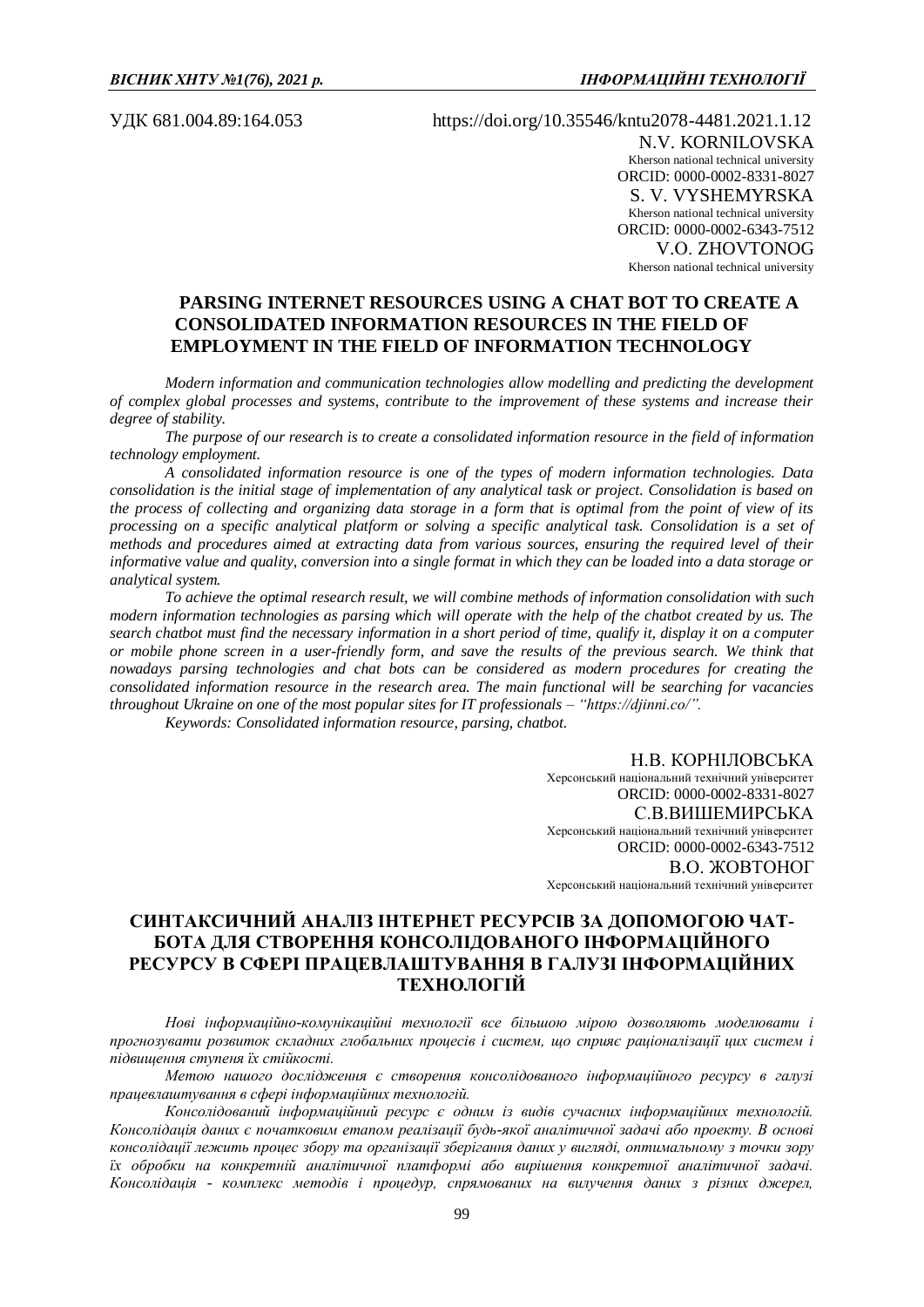УДК 681.004.89:164.053 https://doi.org/10.35546/kntu2078-4481.2021.1.12 N.V. KORNILOVSKA Kherson national technical university ORCID: 0000-0002-8331-8027 S. V. VYSHEMYRSKA Kherson national technical university ORCID: 0000-0002-6343-7512 V.О. ZHOVTONOG Kherson national technical university

# **PARSING INTERNET RESOURCES USING A CHAT BOT TO CREATE A CONSOLIDATED INFORMATION RESOURCES IN THE FIELD OF EMPLOYMENT IN THE FIELD OF INFORMATION TECHNOLOGY**

*Modern information and communication technologies allow modelling and predicting the development of complex global processes and systems, contribute to the improvement of these systems and increase their degree of stability.* 

*The purpose of our research is to create a consolidated information resource in the field of information technology employment.*

*A consolidated information resource is one of the types of modern information technologies. Data consolidation is the initial stage of implementation of any analytical task or project. Consolidation is based on the process of collecting and organizing data storage in a form that is optimal from the point of view of its processing on a specific analytical platform or solving a specific analytical task. Consolidation is a set of methods and procedures aimed at extracting data from various sources, ensuring the required level of their informative value and quality, conversion into a single format in which they can be loaded into a data storage or analytical system.*

*To achieve the optimal research result, we will combine methods of information consolidation with such modern information technologies as parsing which will operate with the help of the chatbot created by us. The search chatbot must find the necessary information in a short period of time, qualify it, display it on a computer or mobile phone screen in a user-friendly form, and save the results of the previous search. We think that nowadays parsing technologies and chat bots can be considered as modern procedures for creating the consolidated information resource in the research area. The main functional will be searching for vacancies throughout Ukraine on one of the most popular sites for IT professionals – "https://djinni.co/".*

*Keywords: Consolidated information resource, parsing, chatbot.*

Н.В. КОРНІЛОВСЬКА Херсонський національний технічний університет ORCID: 0000-0002-8331-8027 С.В.ВИШЕМИРСЬКА Херсонський національний технічний університет ORCID: 0000-0002-6343-7512 В.О. ЖОВТОНОГ Херсонський національний технічний університет

# **СИНТАКСИЧНИЙ АНАЛІЗ ІНТЕРНЕТ РЕСУРСІВ ЗА ДОПОМОГОЮ ЧАТ-БОТА ДЛЯ СТВОРЕННЯ КОНСОЛІДОВАНОГО ІНФОРМАЦІЙНОГО РЕСУРСУ В СФЕРІ ПРАЦЕВЛАШТУВАННЯ В ГАЛУЗІ ІНФОРМАЦІЙНИХ ТЕХНОЛОГІЙ**

*Нові інформаційно-комунікаційні технології все більшою мірою дозволяють моделювати і прогнозувати розвиток складних глобальних процесів і систем, що сприяє раціоналізації цих систем і підвищення ступеня їх стійкості.* 

*Метою нашого дослідження є створення консолідованого інформаційного ресурсу в галузі працевлаштування в сфері інформаційних технологій.* 

*Консолідований інформаційний ресурс є одним із видів сучасних інформаційних технологій. Консолідація даних є початковим етапом реалізації будь-якої аналітичної задачі або проекту. В основі консолідації лежить процес збору та організації зберігання даних у вигляді, оптимальному з точки зору їх обробки на конкретній аналітичної платформі або вирішення конкретної аналітичної задачі. Консолідація - комплекс методів і процедур, спрямованих на вилучення даних з різних джерел,*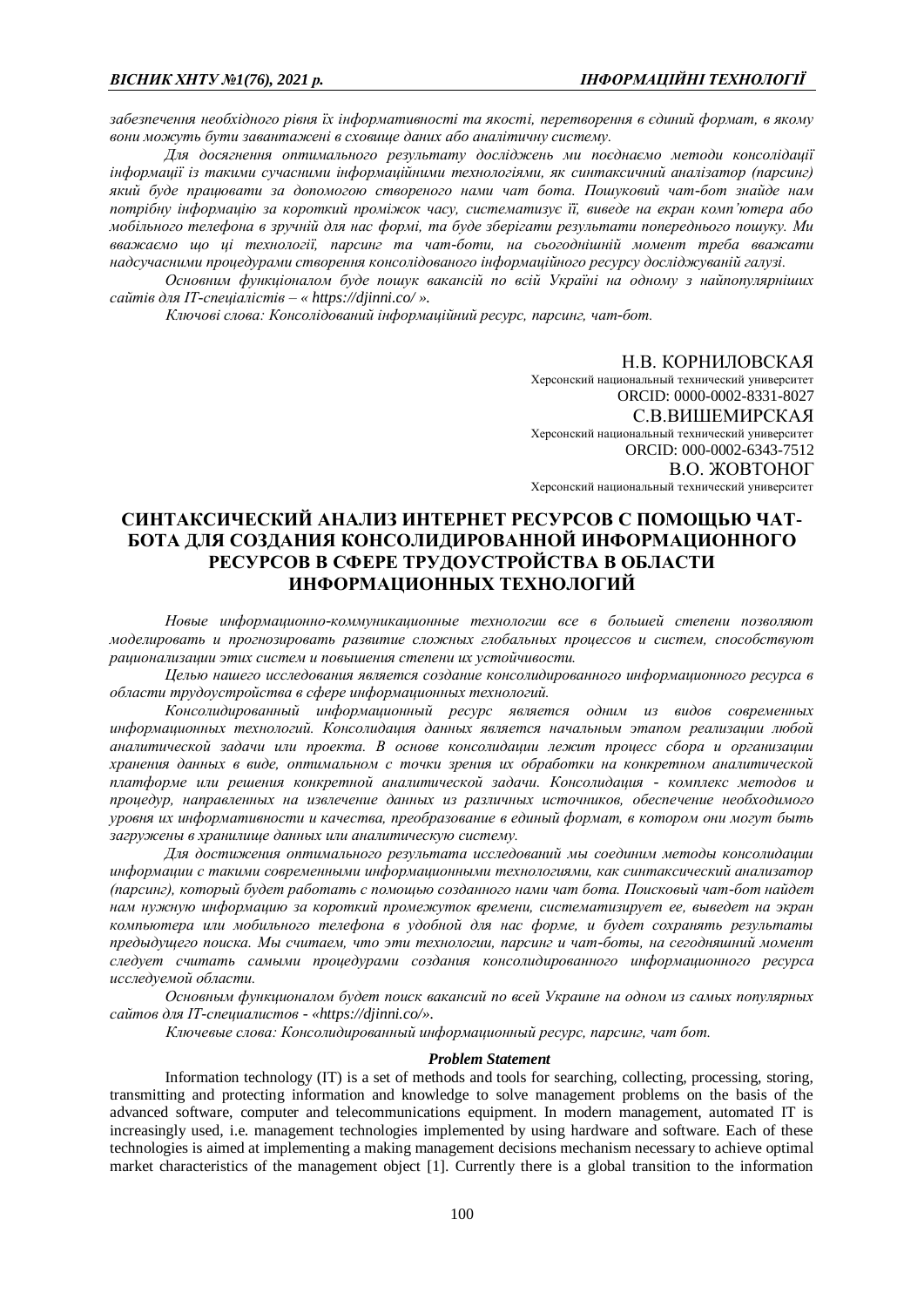*забезпечення необхідного рівня їх інформативності та якості, перетворення в єдиний формат, в якому вони можуть бути завантажені в сховище даних або аналітичну систему.* 

*Для досягнення оптимального результату досліджень ми поєднаємо методи консолідації інформації із такими сучасними інформаційними технологіями, як синтаксичний аналізатор (парсинг) який буде працювати за допомогою створеного нами чат бота. Пошуковий чат-бот знайде нам потрібну інформацію за короткий проміжок часу, систематизує її, виведе на екран комп'ютера або мобільного телефона в зручній для нас формі, та буде зберігати результати попереднього пошуку. Ми вважаємо що ці технології, парсинг та чат-боти, на сьогоднішній момент треба вважати надсучасними процедурами створення консолідованого інформаційного ресурсу досліджуваній галузі.*

*Основним функціоналом буде пошук вакансій по всій Україні на одному з найпопулярніших сайтів для IT-спеціалістів – « https://djinni.co/ ».*

*Ключові слова: Консолідований інформаційний ресурс, парсинг, чат-бот.*

#### Н.В. КОРНИЛОВСКАЯ

Херсонский национальный технический университет ORCID: 0000-0002-8331-8027 С.В.ВИШЕМИРСКАЯ Херсонский национальный технический университет ORCID: 000-0002-6343-7512 В.О. ЖОВТОНОГ Херсонский национальный технический университет

# **СИНТАКСИЧЕСКИЙ АНАЛИЗ ИНТЕРНЕТ РЕСУРСОВ С ПОМОЩЬЮ ЧАТ-БОТА ДЛЯ СОЗДАНИЯ КОНСОЛИДИРОВАННОЙ ИНФОРМАЦИОННОГО РЕСУРСОВ В СФЕРЕ ТРУДОУСТРОЙСТВА В ОБЛАСТИ ИНФОРМАЦИОННЫХ ТЕХНОЛОГИЙ**

*Новые информационно-коммуникационные технологии все в большей степени позволяют моделировать и прогнозировать развитие сложных глобальных процессов и систем, способствуют рационализации этих систем и повышения степени их устойчивости.* 

*Целью нашего исследования является создание консолидированного информационного ресурса в области трудоустройства в сфере информационных технологий.* 

*Консолидированный информационный ресурс является одним из видов современных информационных технологий. Консолидация данных является начальным этапом реализации любой аналитической задачи или проекта. В основе консолидации лежит процесс сбора и организации хранения данных в виде, оптимальном с точки зрения их обработки на конкретном аналитической платформе или решения конкретной аналитической задачи. Консолидация - комплекс методов и процедур, направленных на извлечение данных из различных источников, обеспечение необходимого уровня их информативности и качества, преобразование в единый формат, в котором они могут быть загружены в хранилище данных или аналитическую систему.*

*Для достижения оптимального результата исследований мы соединим методы консолидации информации с такими современными информационными технологиями, как синтаксический анализатор (парсинг), который будет работать с помощью созданного нами чат бота. Поисковый чат-бот найдет нам нужную информацию за короткий промежуток времени, систематизирует ее, выведет на экран компьютера или мобильного телефона в удобной для нас форме, и будет сохранять результаты предыдущего поиска. Мы считаем, что эти технологии, парсинг и чат-боты, на сегодняшний момент следует считать самыми процедурами создания консолидированного информационного ресурса исследуемой области.*

*Основным функционалом будет поиск вакансий по всей Украине на одном из самых популярных сайтов для IT-специалистов - «https://djinni.co/».*

*Ключевые слова: Консолидированный информационный ресурс, парсинг, чат бот.*

## *Problem Statement*

Information technology (IT) is a set of methods and tools for searching, collecting, processing, storing, transmitting and protecting information and knowledge to solve management problems on the basis of the advanced software, computer and telecommunications equipment. In modern management, automated IT is increasingly used, i.e. management technologies implemented by using hardware and software. Each of these technologies is aimed at implementing a making management decisions mechanism necessary to achieve optimal market characteristics of the management object [1]. Currently there is a global transition to the information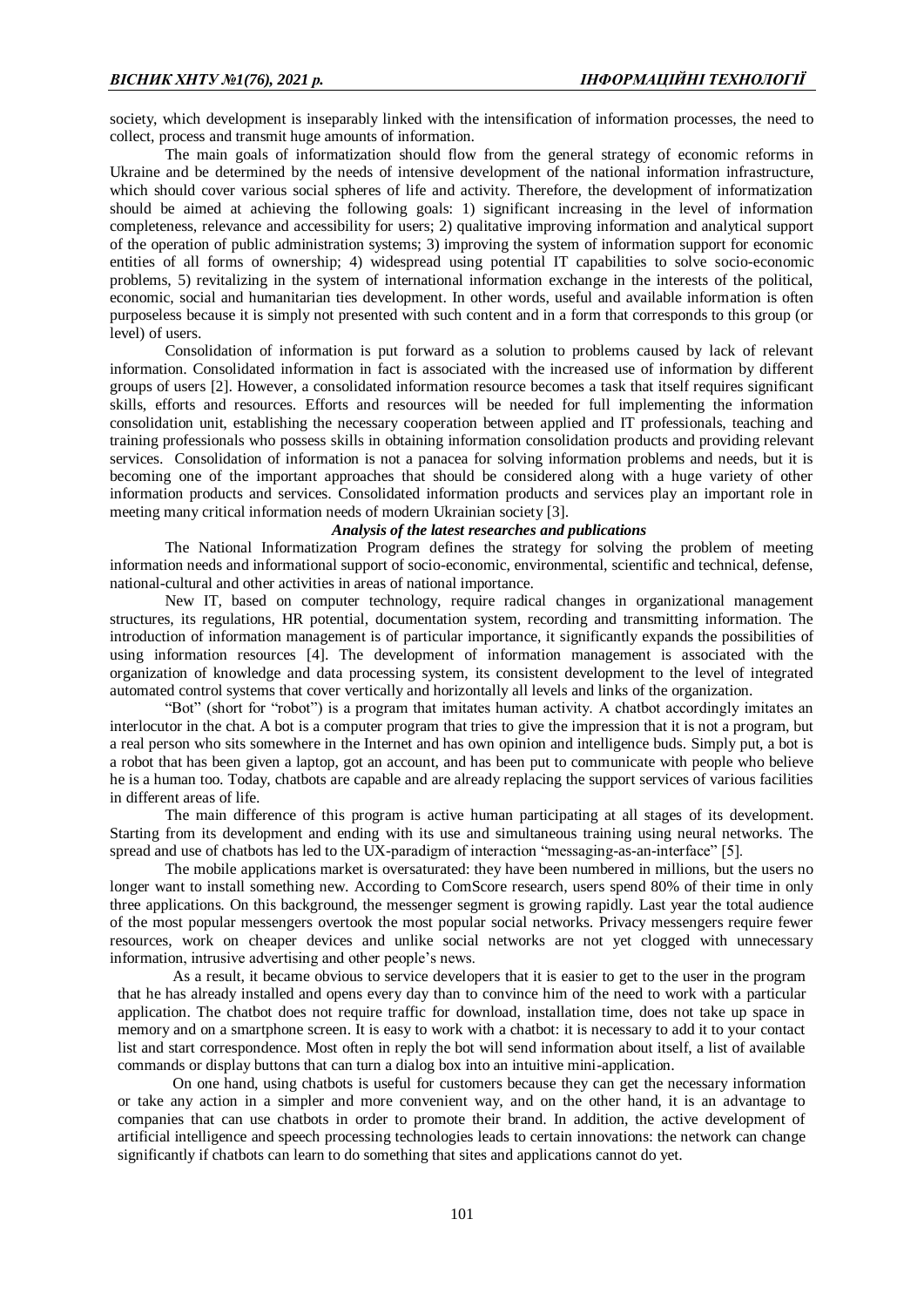society, which development is inseparably linked with the intensification of information processes, the need to collect, process and transmit huge amounts of information.

The main goals of informatization should flow from the general strategy of economic reforms in Ukraine and be determined by the needs of intensive development of the national information infrastructure, which should cover various social spheres of life and activity. Therefore, the development of informatization should be aimed at achieving the following goals: 1) significant increasing in the level of information completeness, relevance and accessibility for users; 2) qualitative improving information and analytical support of the operation of public administration systems; 3) improving the system of information support for economic entities of all forms of ownership; 4) widespread using potential IT capabilities to solve socio-economic problems, 5) revitalizing in the system of international information exchange in the interests of the political, economic, social and humanitarian ties development. In other words, useful and available information is often purposeless because it is simply not presented with such content and in a form that corresponds to this group (or level) of users.

Consolidation of information is put forward as a solution to problems caused by lack of relevant information. Consolidated information in fact is associated with the increased use of information by different groups of users [2]. However, a consolidated information resource becomes a task that itself requires significant skills, efforts and resources. Efforts and resources will be needed for full implementing the information consolidation unit, establishing the necessary cooperation between applied and IT professionals, teaching and training professionals who possess skills in obtaining information consolidation products and providing relevant services. Consolidation of information is not a panacea for solving information problems and needs, but it is becoming one of the important approaches that should be considered along with a huge variety of other information products and services. Consolidated information products and services play an important role in meeting many critical information needs of modern Ukrainian society [3].

### *Analysis of the latest researches and publications*

The National Informatization Program defines the strategy for solving the problem of meeting information needs and informational support of socio-economic, environmental, scientific and technical, defense, national-cultural and other activities in areas of national importance.

New IT, based on computer technology, require radical changes in organizational management structures, its regulations, HR potential, documentation system, recording and transmitting information. The introduction of information management is of particular importance, it significantly expands the possibilities of using information resources [4]. The development of information management is associated with the organization of knowledge and data processing system, its consistent development to the level of integrated automated control systems that cover vertically and horizontally all levels and links of the organization.

"Bot" (short for "robot") is a program that imitates human activity. A chatbot accordingly imitates an interlocutor in the chat. A bot is a computer program that tries to give the impression that it is not a program, but a real person who sits somewhere in the Internet and has own opinion and intelligence buds. Simply put, a bot is a robot that has been given a laptop, got an account, and has been put to communicate with people who believe he is a human too. Today, chatbots are capable and are already replacing the support services of various facilities in different areas of life.

The main difference of this program is active human participating at all stages of its development. Starting from its development and ending with its use and simultaneous training using neural networks. The spread and use of chatbots has led to the UX-paradigm of interaction "messaging-as-an-interface" [5].

The mobile applications market is oversaturated: they have been numbered in millions, but the users no longer want to install something new. According to ComScore research, users spend 80% of their time in only three applications. On this background, the messenger segment is growing rapidly. Last year the total audience of the most popular messengers overtook the most popular social networks. Privacy messengers require fewer resources, work on cheaper devices and unlike social networks are not yet clogged with unnecessary information, intrusive advertising and other people's news.

As a result, it became obvious to service developers that it is easier to get to the user in the program that he has already installed and opens every day than to convince him of the need to work with a particular application. The chatbot does not require traffic for download, installation time, does not take up space in memory and on a smartphone screen. It is easy to work with a chatbot: it is necessary to add it to your contact list and start correspondence. Most often in reply the bot will send information about itself, a list of available commands or display buttons that can turn a dialog box into an intuitive mini-application.

On one hand, using chatbots is useful for customers because they can get the necessary information or take any action in a simpler and more convenient way, and on the other hand, it is an advantage to companies that can use chatbots in order to promote their brand. In addition, the active development of artificial intelligence and speech processing technologies leads to certain innovations: the network can change significantly if chatbots can learn to do something that sites and applications cannot do yet.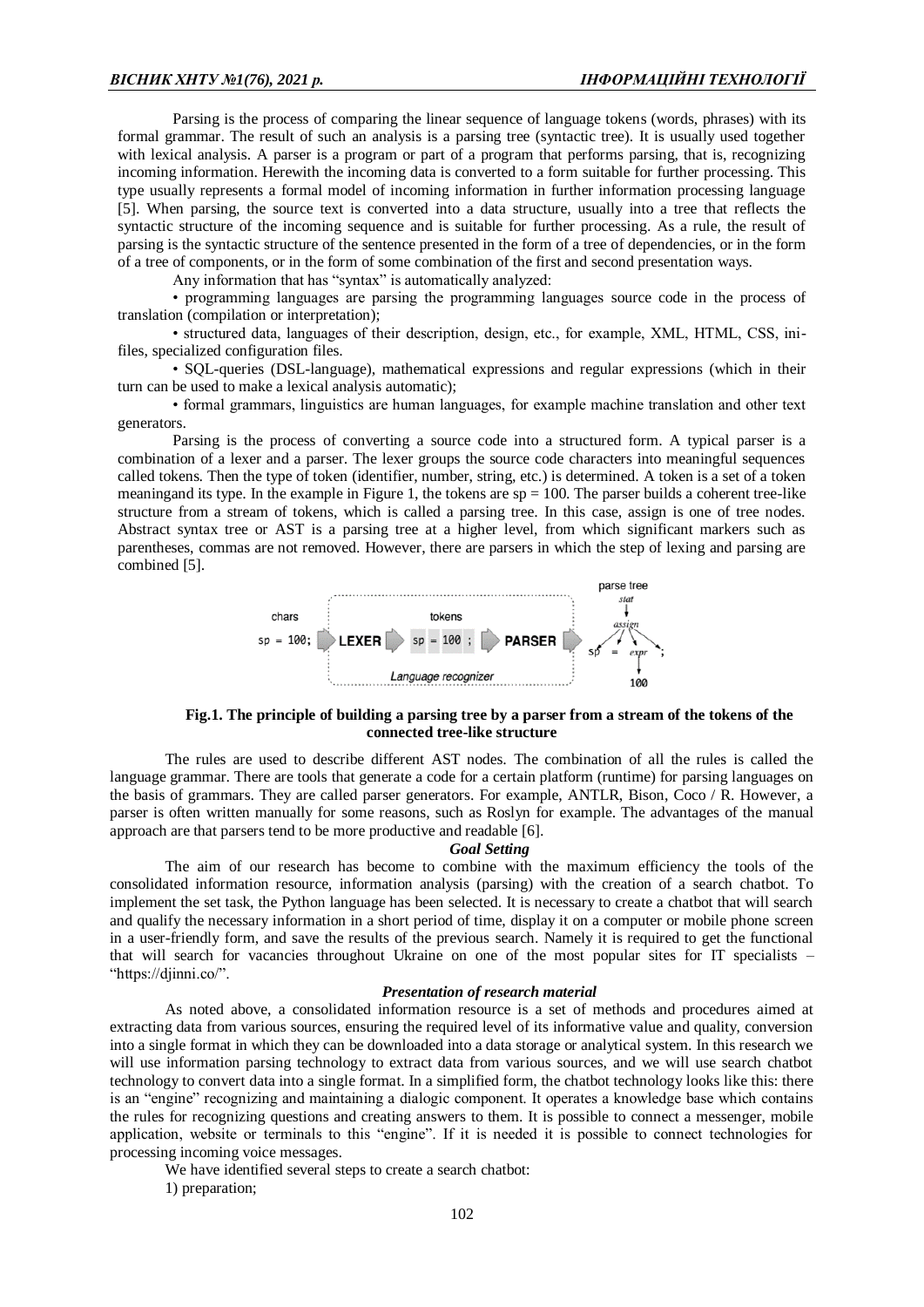Parsing is the process of comparing the linear sequence of language tokens (words, phrases) with its formal grammar. The result of such an analysis is a parsing tree (syntactic tree). It is usually used together with lexical analysis. A parser is a program or part of a program that performs parsing, that is, recognizing incoming information. Herewith the incoming data is converted to a form suitable for further processing. This type usually represents a formal model of incoming information in further information processing language [5]. When parsing, the source text is converted into a data structure, usually into a tree that reflects the syntactic structure of the incoming sequence and is suitable for further processing. As a rule, the result of parsing is the syntactic structure of the sentence presented in the form of a tree of dependencies, or in the form of a tree of components, or in the form of some combination of the first and second presentation ways.

Any information that has "syntax" is automatically analyzed:

• programming languages are parsing the programming languages source code in the process of translation (compilation or interpretation);

• structured data, languages of their description, design, etc., for example, XML, HTML, CSS, inifiles, specialized configuration files.

• SQL-queries (DSL-language), mathematical expressions and regular expressions (which in their turn can be used to make a lexical analysis automatic);

• formal grammars, linguistics are human languages, for example machine translation and other text generators.

Parsing is the process of converting a source code into a structured form. A typical parser is a combination of a lexer and a parser. The lexer groups the source code characters into meaningful sequences called tokens. Then the type of token (identifier, number, string, etc.) is determined. A token is a set of a token meaningand its type. In the example in Figure 1, the tokens are  $sp = 100$ . The parser builds a coherent tree-like structure from a stream of tokens, which is called a parsing tree. In this case, assign is one of tree nodes. Abstract syntax tree or AST is a parsing tree at a higher level, from which significant markers such as parentheses, commas are not removed. However, there are parsers in which the step of lexing and parsing are combined [5].



### **Fig.1. The principle of building a parsing tree by a parser from a stream of the tokens of the connected tree-like structure**

The rules are used to describe different AST nodes. The combination of all the rules is called the language grammar. There are tools that generate a code for a certain platform (runtime) for parsing languages on the basis of grammars. They are called parser generators. For example, ANTLR, Bison, Coco / R. However, a parser is often written manually for some reasons, such as Roslyn for example. The advantages of the manual approach are that parsers tend to be more productive and readable [6].

#### *Goal Setting*

The aim of our research has become to combine with the maximum efficiency the tools of the consolidated information resource, information analysis (parsing) with the creation of a search chatbot. To implement the set task, the Python language has been selected. It is necessary to create a chatbot that will search and qualify the necessary information in a short period of time, display it on a computer or mobile phone screen in a user-friendly form, and save the results of the previous search. Namely it is required to get the functional that will search for vacancies throughout Ukraine on one of the most popular sites for IT specialists – "https://djinni.co/".

### *Presentation of research material*

As noted above, a consolidated information resource is a set of methods and procedures aimed at extracting data from various sources, ensuring the required level of its informative value and quality, conversion into a single format in which they can be downloaded into a data storage or analytical system. In this research we will use information parsing technology to extract data from various sources, and we will use search chatbot technology to convert data into a single format. In a simplified form, the chatbot technology looks like this: there is an "engine" recognizing and maintaining a dialogic component. It operates a knowledge base which contains the rules for recognizing questions and creating answers to them. It is possible to connect a messenger, mobile application, website or terminals to this "engine". If it is needed it is possible to connect technologies for processing incoming voice messages.

We have identified several steps to create a search chatbot:

1) preparation;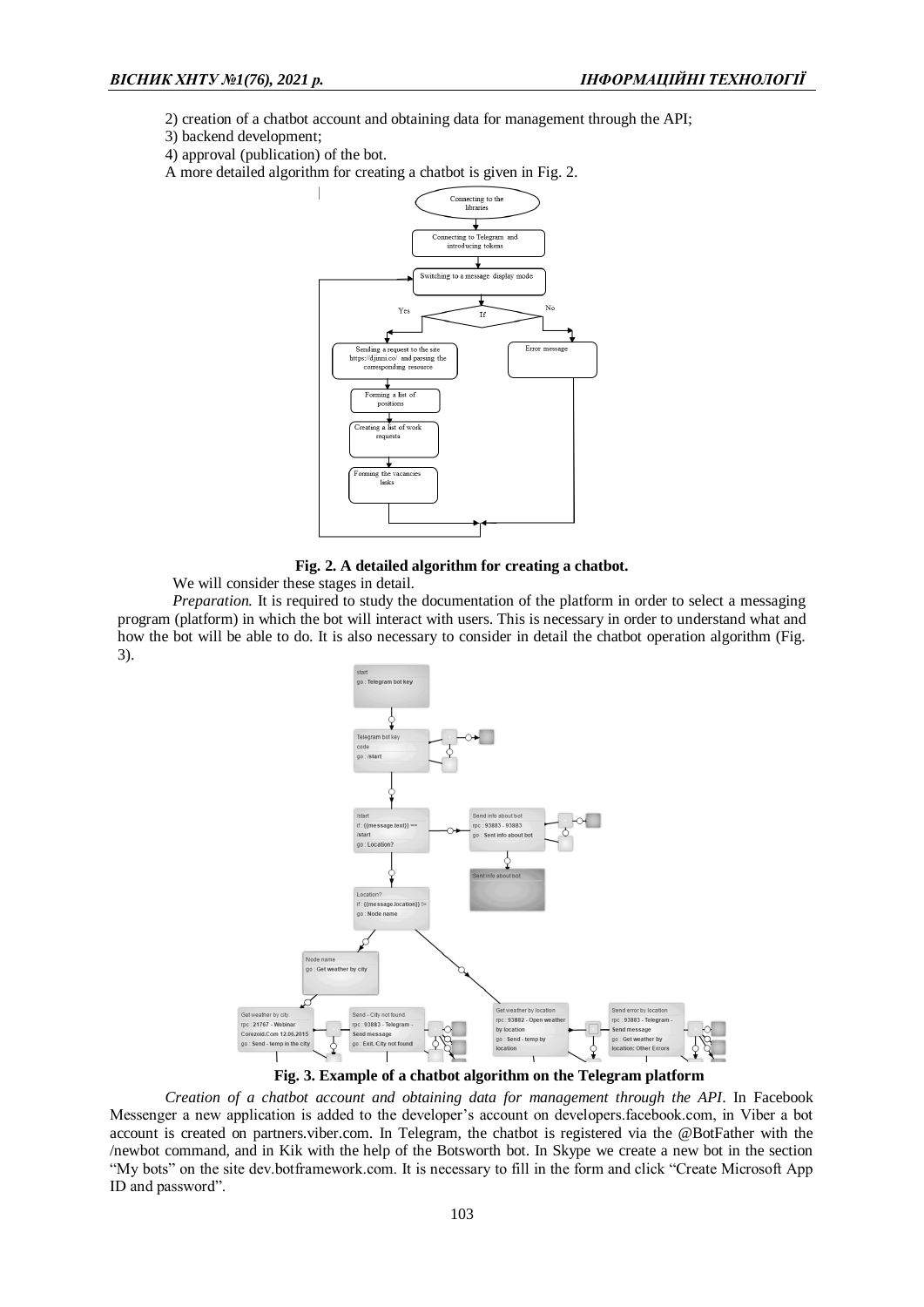- 2) creation of a chatbot account and obtaining data for management through the API;
- 3) backend development;
- 4) approval (publication) of the bot.
- A more detailed algorithm for creating a chatbot is given in Fig. 2.



**Fig. 2. A detailed algorithm for creating a chatbot.**

We will consider these stages in detail.

*Preparation*. It is required to study the documentation of the platform in order to select a messaging program (platform) in which the bot will interact with users. This is necessary in order to understand what and how the bot will be able to do. It is also necessary to consider in detail the chatbot operation algorithm (Fig. 3).



**Fig. 3. Example of a chatbot algorithm on the Telegram platform**

*Creation of a chatbot account and obtaining data for management through the API*. In Facebook Messenger a new application is added to the developer's account on developers.facebook.com, in Viber a bot account is created on partners.viber.com. In Telegram, the chatbot is registered via the @BotFather with the /newbot command, and in Kik with the help of the Botsworth bot. In Skype we create a new bot in the section "My bots" on the site dev.botframework.com. It is necessary to fill in the form and click "Create Microsoft App ID and password".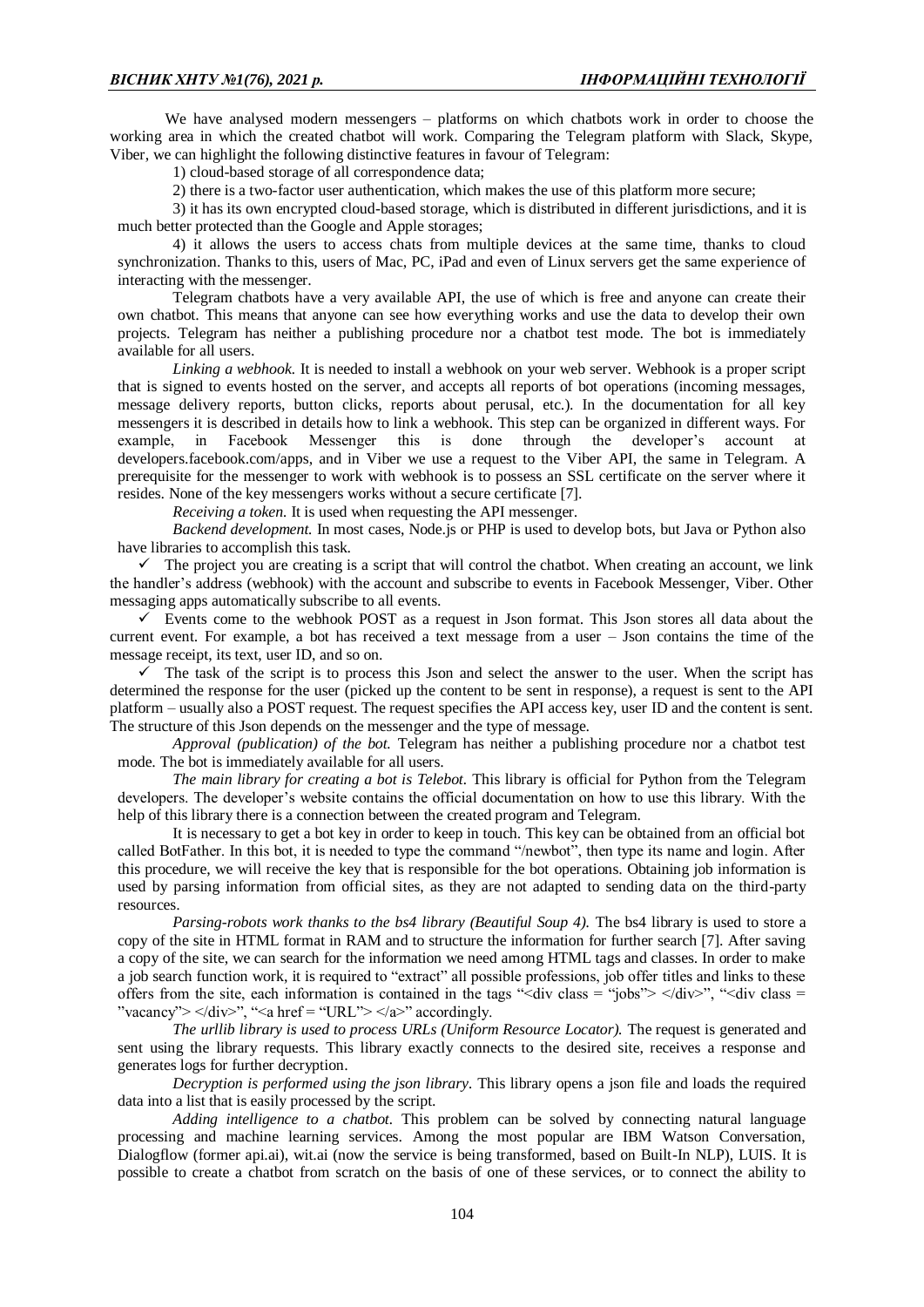We have analysed modern messengers – platforms on which chatbots work in order to choose the working area in which the created chatbot will work. Comparing the Telegram platform with Slack, Skype, Viber, we can highlight the following distinctive features in favour of Telegram:

1) cloud-based storage of all correspondence data;

2) there is a two-factor user authentication, which makes the use of this platform more secure;

3) it has its own encrypted cloud-based storage, which is distributed in different jurisdictions, and it is much better protected than the Google and Apple storages;

4) it allows the users to access chats from multiple devices at the same time, thanks to cloud synchronization. Thanks to this, users of Mac, PC, iPad and even of Linux servers get the same experience of interacting with the messenger.

Telegram chatbots have a very available API, the use of which is free and anyone can create their own chatbot. This means that anyone can see how everything works and use the data to develop their own projects. Telegram has neither a publishing procedure nor a chatbot test mode. The bot is immediately available for all users.

*Linking a webhook.* It is needed to install a webhook on your web server. Webhook is a proper script that is signed to events hosted on the server, and accepts all reports of bot operations (incoming messages, message delivery reports, button clicks, reports about perusal, etc.). In the documentation for all key messengers it is described in details how to link a webhook. This step can be organized in different ways. For example, in Facebook Messenger this is done through the developer's account at developers.facebook.com/apps, and in Viber we use a request to the Viber API, the same in Telegram. A prerequisite for the messenger to work with webhook is to possess an SSL certificate on the server where it resides. None of the key messengers works without a secure certificate [7].

*Receiving a token.* It is used when requesting the API messenger.

*Backend development.* In most cases, Node.js or PHP is used to develop bots, but Java or Python also have libraries to accomplish this task.

 $\checkmark$  The project you are creating is a script that will control the chatbot. When creating an account, we link the handler's address (webhook) with the account and subscribe to events in Facebook Messenger, Viber. Other messaging apps automatically subscribe to all events.

 $\checkmark$  Events come to the webhook POST as a request in Json format. This Json stores all data about the current event. For example, a bot has received a text message from a user – Json contains the time of the message receipt, its text, user ID, and so on.

 $\checkmark$  The task of the script is to process this Json and select the answer to the user. When the script has determined the response for the user (picked up the content to be sent in response), a request is sent to the API platform – usually also a POST request. The request specifies the API access key, user ID and the content is sent. The structure of this Json depends on the messenger and the type of message.

*Approval (publication) of the bot.* Telegram has neither a publishing procedure nor a chatbot test mode. The bot is immediately available for all users.

*The main library for creating a bot is Telebot.* This library is official for Python from the Telegram developers. The developer's website contains the official documentation on how to use this library. With the help of this library there is a connection between the created program and Telegram.

It is necessary to get a bot key in order to keep in touch. This key can be obtained from an official bot called BotFather. In this bot, it is needed to type the command "/newbot", then type its name and login. After this procedure, we will receive the key that is responsible for the bot operations. Obtaining job information is used by parsing information from official sites, as they are not adapted to sending data on the third-party resources.

*Parsing-robots work thanks to the bs4 library (Beautiful Soup 4).* The bs4 library is used to store a copy of the site in HTML format in RAM and to structure the information for further search [7]. After saving a copy of the site, we can search for the information we need among HTML tags and classes. In order to make a job search function work, it is required to "extract" all possible professions, job offer titles and links to these offers from the site, each information is contained in the tags " $\langle \text{div class} =$  "jobs">  $\langle \text{div} \rangle$ ", " $\langle \text{div class} =$ "vacancy">  $\langle \text{div} \rangle$ ", " $\langle \text{div} \rangle$ "  $\langle \text{div} \rangle$ " accordingly.

*The urllib library is used to process URLs (Uniform Resource Locator).* The request is generated and sent using the library requests. This library exactly connects to the desired site, receives a response and generates logs for further decryption.

*Decryption is performed using the json library.* This library opens a json file and loads the required data into a list that is easily processed by the script.

*Adding intelligence to a chatbot.* This problem can be solved by connecting natural language processing and machine learning services. Among the most popular are IBM Watson Conversation, Dialogflow (former api.ai), wit.ai (now the service is being transformed, based on Built-In NLP), LUIS. It is possible to create a chatbot from scratch on the basis of one of these services, or to connect the ability to